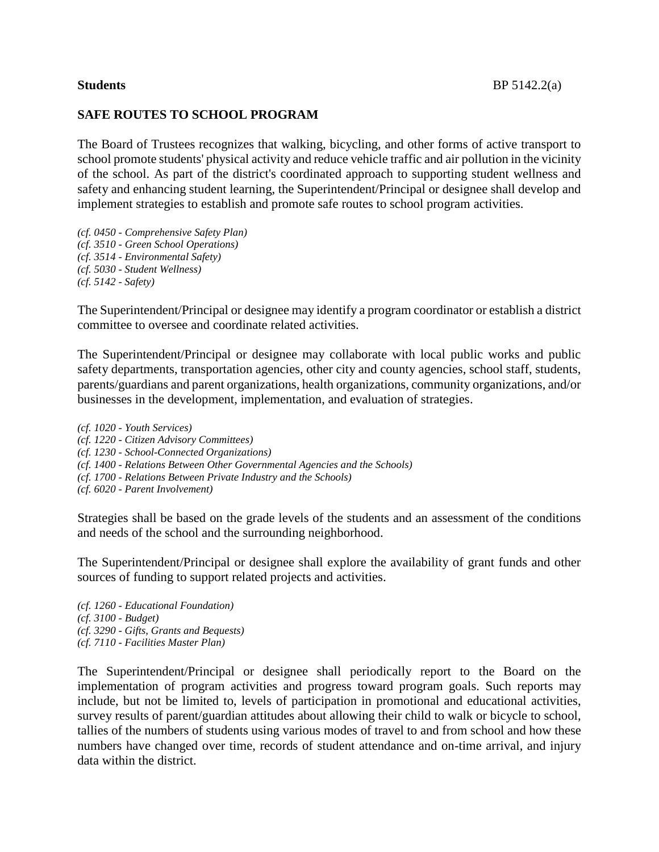## **SAFE ROUTES TO SCHOOL PROGRAM**

The Board of Trustees recognizes that walking, bicycling, and other forms of active transport to school promote students' physical activity and reduce vehicle traffic and air pollution in the vicinity of the school. As part of the district's coordinated approach to supporting student wellness and safety and enhancing student learning, the Superintendent/Principal or designee shall develop and implement strategies to establish and promote safe routes to school program activities.

*(cf. 0450 - Comprehensive Safety Plan) (cf. 3510 - Green School Operations) (cf. 3514 - Environmental Safety) (cf. 5030 - Student Wellness) (cf. 5142 - Safety)*

The Superintendent/Principal or designee may identify a program coordinator or establish a district committee to oversee and coordinate related activities.

The Superintendent/Principal or designee may collaborate with local public works and public safety departments, transportation agencies, other city and county agencies, school staff, students, parents/guardians and parent organizations, health organizations, community organizations, and/or businesses in the development, implementation, and evaluation of strategies.

*(cf. 1020 - Youth Services) (cf. 1220 - Citizen Advisory Committees) (cf. 1230 - School-Connected Organizations) (cf. 1400 - Relations Between Other Governmental Agencies and the Schools) (cf. 1700 - Relations Between Private Industry and the Schools) (cf. 6020 - Parent Involvement)*

Strategies shall be based on the grade levels of the students and an assessment of the conditions and needs of the school and the surrounding neighborhood.

The Superintendent/Principal or designee shall explore the availability of grant funds and other sources of funding to support related projects and activities.

*(cf. 1260 - Educational Foundation) (cf. 3100 - Budget) (cf. 3290 - Gifts, Grants and Bequests) (cf. 7110 - Facilities Master Plan)*

The Superintendent/Principal or designee shall periodically report to the Board on the implementation of program activities and progress toward program goals. Such reports may include, but not be limited to, levels of participation in promotional and educational activities, survey results of parent/guardian attitudes about allowing their child to walk or bicycle to school, tallies of the numbers of students using various modes of travel to and from school and how these numbers have changed over time, records of student attendance and on-time arrival, and injury data within the district.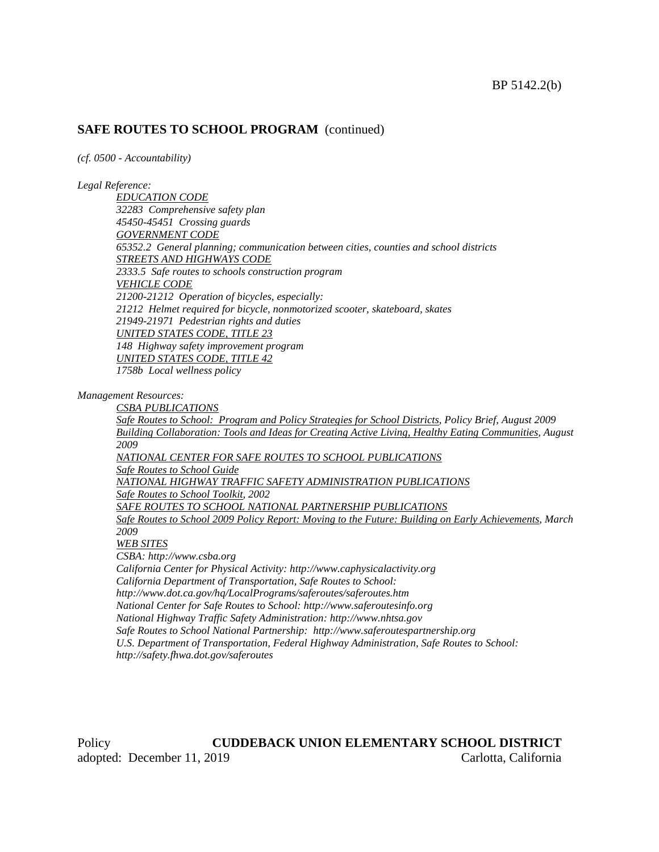### **SAFE ROUTES TO SCHOOL PROGRAM** (continued)

*(cf. 0500 - Accountability)*

### *Legal Reference:*

*EDUCATION CODE 32283 Comprehensive safety plan 45450-45451 Crossing guards GOVERNMENT CODE 65352.2 General planning; communication between cities, counties and school districts STREETS AND HIGHWAYS CODE 2333.5 Safe routes to schools construction program VEHICLE CODE 21200-21212 Operation of bicycles, especially: 21212 Helmet required for bicycle, nonmotorized scooter, skateboard, skates 21949-21971 Pedestrian rights and duties UNITED STATES CODE, TITLE 23 148 Highway safety improvement program UNITED STATES CODE, TITLE 42 1758b Local wellness policy*

*Management Resources:*

*http://safety.fhwa.dot.gov/saferoutes*

*CSBA PUBLICATIONS Safe Routes to School: Program and Policy Strategies for School Districts, Policy Brief, August 2009 Building Collaboration: Tools and Ideas for Creating Active Living, Healthy Eating Communities, August 2009 NATIONAL CENTER FOR SAFE ROUTES TO SCHOOL PUBLICATIONS Safe Routes to School Guide NATIONAL HIGHWAY TRAFFIC SAFETY ADMINISTRATION PUBLICATIONS Safe Routes to School Toolkit, 2002 SAFE ROUTES TO SCHOOL NATIONAL PARTNERSHIP PUBLICATIONS Safe Routes to School 2009 Policy Report: Moving to the Future: Building on Early Achievements, March 2009 WEB SITES CSBA: http://www.csba.org California Center for Physical Activity: http://www.caphysicalactivity.org California Department of Transportation, Safe Routes to School: http://www.dot.ca.gov/hq/LocalPrograms/saferoutes/saferoutes.htm National Center for Safe Routes to School: http://www.saferoutesinfo.org National Highway Traffic Safety Administration: http://www.nhtsa.gov Safe Routes to School National Partnership: http://www.saferoutespartnership.org U.S. Department of Transportation, Federal Highway Administration, Safe Routes to School:*

Policy **CUDDEBACK UNION ELEMENTARY SCHOOL DISTRICT** adopted: December 11, 2019 Carlotta, California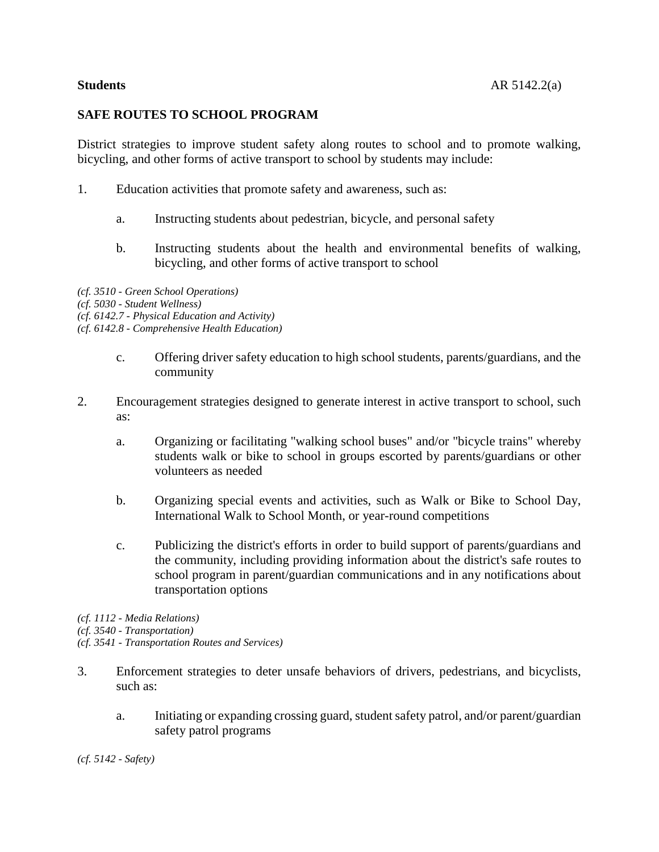## **SAFE ROUTES TO SCHOOL PROGRAM**

District strategies to improve student safety along routes to school and to promote walking, bicycling, and other forms of active transport to school by students may include:

- 1. Education activities that promote safety and awareness, such as:
	- a. Instructing students about pedestrian, bicycle, and personal safety
	- b. Instructing students about the health and environmental benefits of walking, bicycling, and other forms of active transport to school

*(cf. 3510 - Green School Operations) (cf. 5030 - Student Wellness) (cf. 6142.7 - Physical Education and Activity) (cf. 6142.8 - Comprehensive Health Education)*

- c. Offering driver safety education to high school students, parents/guardians, and the community
- 2. Encouragement strategies designed to generate interest in active transport to school, such as:
	- a. Organizing or facilitating "walking school buses" and/or "bicycle trains" whereby students walk or bike to school in groups escorted by parents/guardians or other volunteers as needed
	- b. Organizing special events and activities, such as Walk or Bike to School Day, International Walk to School Month, or year-round competitions
	- c. Publicizing the district's efforts in order to build support of parents/guardians and the community, including providing information about the district's safe routes to school program in parent/guardian communications and in any notifications about transportation options

*(cf. 1112 - Media Relations)*

*(cf. 3540 - Transportation)*

*(cf. 3541 - Transportation Routes and Services)*

- 3. Enforcement strategies to deter unsafe behaviors of drivers, pedestrians, and bicyclists, such as:
	- a. Initiating or expanding crossing guard, student safety patrol, and/or parent/guardian safety patrol programs

*(cf. 5142 - Safety)*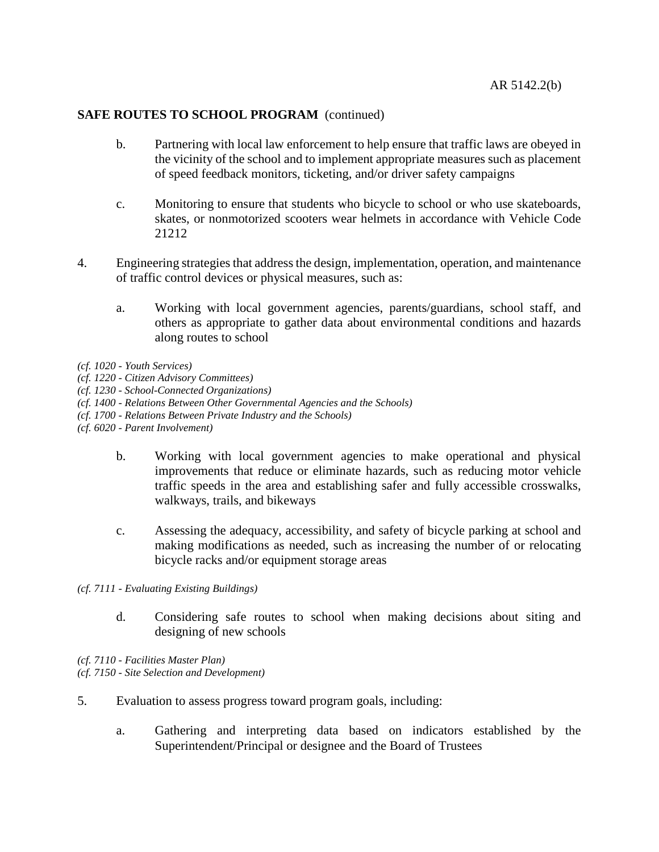## **SAFE ROUTES TO SCHOOL PROGRAM** (continued)

- b. Partnering with local law enforcement to help ensure that traffic laws are obeyed in the vicinity of the school and to implement appropriate measures such as placement of speed feedback monitors, ticketing, and/or driver safety campaigns
- c. Monitoring to ensure that students who bicycle to school or who use skateboards, skates, or nonmotorized scooters wear helmets in accordance with Vehicle Code 21212
- 4. Engineering strategies that address the design, implementation, operation, and maintenance of traffic control devices or physical measures, such as:
	- a. Working with local government agencies, parents/guardians, school staff, and others as appropriate to gather data about environmental conditions and hazards along routes to school
- *(cf. 1020 - Youth Services)*
- *(cf. 1220 - Citizen Advisory Committees)*
- *(cf. 1230 - School-Connected Organizations)*
- *(cf. 1400 - Relations Between Other Governmental Agencies and the Schools)*
- *(cf. 1700 - Relations Between Private Industry and the Schools)*
- *(cf. 6020 - Parent Involvement)*
	- b. Working with local government agencies to make operational and physical improvements that reduce or eliminate hazards, such as reducing motor vehicle traffic speeds in the area and establishing safer and fully accessible crosswalks, walkways, trails, and bikeways
	- c. Assessing the adequacy, accessibility, and safety of bicycle parking at school and making modifications as needed, such as increasing the number of or relocating bicycle racks and/or equipment storage areas

*(cf. 7111 - Evaluating Existing Buildings)*

d. Considering safe routes to school when making decisions about siting and designing of new schools

*(cf. 7110 - Facilities Master Plan) (cf. 7150 - Site Selection and Development)*

- 5. Evaluation to assess progress toward program goals, including:
	- a. Gathering and interpreting data based on indicators established by the Superintendent/Principal or designee and the Board of Trustees